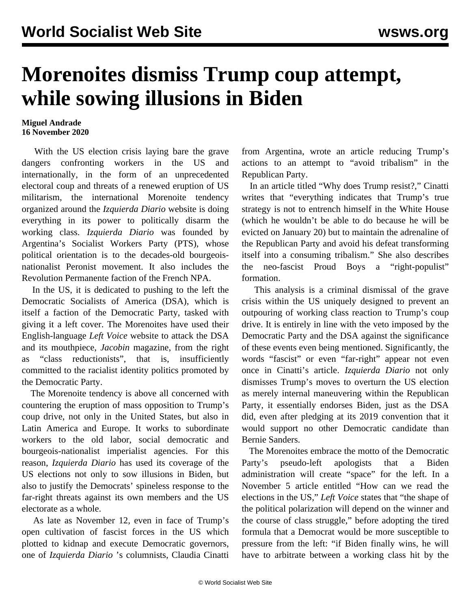## **Morenoites dismiss Trump coup attempt, while sowing illusions in Biden**

## **Miguel Andrade 16 November 2020**

 With the US election crisis laying bare the grave dangers confronting workers in the US and internationally, in the form of an unprecedented electoral coup and threats of a renewed eruption of US militarism, the international Morenoite tendency organized around the *Izquierda Diario* website is doing everything in its power to politically disarm the working class. *Izquierda Diario* was founded by Argentina's Socialist Workers Party (PTS), whose political orientation is to the decades-old bourgeoisnationalist Peronist movement. It also includes the Revolution Permanente faction of the French NPA.

 In the US, it is dedicated to pushing to the left the Democratic Socialists of America (DSA), which is itself a faction of the Democratic Party, tasked with giving it a left cover. The Morenoites have used their English-language *Left Voice* website to attack the DSA and its mouthpiece, *Jacobin* magazine, from the right as "class reductionists", that is, insufficiently committed to the racialist identity politics promoted by the Democratic Party.

 The Morenoite tendency is above all concerned with countering the eruption of mass opposition to Trump's coup drive, not only in the United States, but also in Latin America and Europe. It works to subordinate workers to the old labor, social democratic and bourgeois-nationalist imperialist agencies. For this reason, *Izquierda Diario* has used its coverage of the US elections not only to sow illusions in Biden, but also to justify the Democrats' spineless response to the far-right threats against its own members and the US electorate as a whole.

 As late as November 12, even in face of Trump's open cultivation of fascist forces in the US which plotted to kidnap and execute Democratic governors, one of *Izquierda Diario* 's columnists, Claudia Cinatti from Argentina, wrote an article reducing Trump's actions to an attempt to "avoid tribalism" in the Republican Party.

 In an article titled "Why does Trump resist?," Cinatti writes that "everything indicates that Trump's true strategy is not to entrench himself in the White House (which he wouldn't be able to do because he will be evicted on January 20) but to maintain the adrenaline of the Republican Party and avoid his defeat transforming itself into a consuming tribalism." She also describes the neo-fascist Proud Boys a "right-populist" formation.

 This analysis is a criminal dismissal of the grave crisis within the US uniquely designed to prevent an outpouring of working class reaction to Trump's coup drive. It is entirely in line with the veto imposed by the Democratic Party and the DSA against the significance of these events even being mentioned. Significantly, the words "fascist" or even "far-right" appear not even once in Cinatti's article. *Izquierda Diario* not only dismisses Trump's moves to overturn the US election as merely internal maneuvering within the Republican Party, it essentially endorses Biden, just as the DSA did, even after pledging at its 2019 convention that it would support no other Democratic candidate than Bernie Sanders.

 The Morenoites embrace the motto of the Democratic Party's pseudo-left apologists that a Biden administration will create "space" for the left. In a November 5 article entitled "How can we read the elections in the US," *Left Voice* states that "the shape of the political polarization will depend on the winner and the course of class struggle," before adopting the tired formula that a Democrat would be more susceptible to pressure from the left: "if Biden finally wins, he will have to arbitrate between a working class hit by the